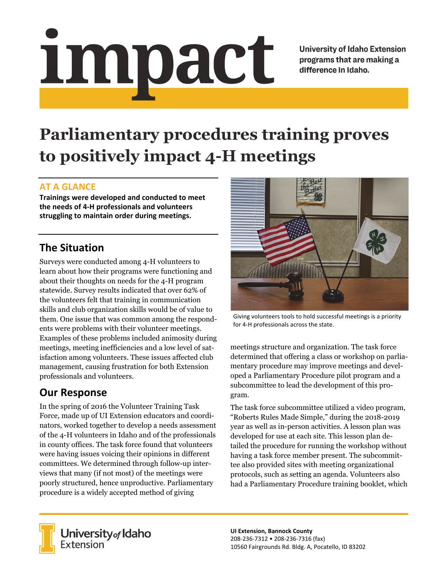# Impact

**University of Idaho Extension** programs that are making a difference in Idaho.

# **Parliamentary procedures training proves to positively impact 4-H meetings**

### **AT A GLANCE**

**Trainings were developed and conducted to meet the needs of 4‐H professionals and volunteers struggling to maintain order during meetings.** 

## **The Situation**

Surveys were conducted among 4-H volunteers to learn about how their programs were functioning and about their thoughts on needs for the 4-H program statewide. Survey results indicated that over 62% of the volunteers felt that training in communication skills and club organization skills would be of value to them. One issue that was common among the respondents were problems with their volunteer meetings. Examples of these problems included animosity during meetings, meeting inefficiencies and a low level of satisfaction among volunteers. These issues affected club management, causing frustration for both Extension professionals and volunteers.

# **Our Response**

In the spring of 2016 the Volunteer Training Task Force, made up of UI Extension educators and coordinators, worked together to develop a needs assessment of the 4-H volunteers in Idaho and of the professionals in county offices. The task force found that volunteers were having issues voicing their opinions in different committees. We determined through follow-up interviews that many (if not most) of the meetings were poorly structured, hence unproductive. Parliamentary procedure is a widely accepted method of giving



Giving volunteers tools to hold successful meetings is a priority for 4‐H professionals across the state.

meetings structure and organization. The task force determined that offering a class or workshop on parliamentary procedure may improve meetings and developed a Parliamentary Procedure pilot program and a subcommittee to lead the development of this program.

The task force subcommittee utilized a video program, "Roberts Rules Made Simple," during the 2018-2019 year as well as in-person activities. A lesson plan was developed for use at each site. This lesson plan detailed the procedure for running the workshop without having a task force member present. The subcommittee also provided sites with meeting organizational protocols, such as setting an agenda. Volunteers also had a Parliamentary Procedure training booklet, which



University of Idaho<br>Extension

**UI Extension, Bannock County**  208‐236‐7312 • 208‐236‐7316 (fax) 10560 Fairgrounds Rd. Bldg. A, Pocatello, ID 83202